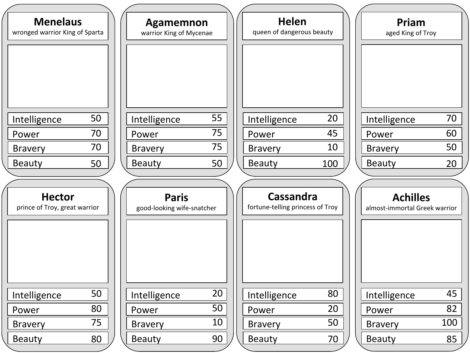| <b>Menelaus</b>                |    | Agamemnon                  |        |  | <b>Helen</b>                     |     |  | Priam                         |     |  |
|--------------------------------|----|----------------------------|--------|--|----------------------------------|-----|--|-------------------------------|-----|--|
| wronged warrior King of Sparta |    | warrior King of Mycenae    |        |  | queen of dangerous beauty        |     |  | aged King of Troy             |     |  |
|                                |    |                            |        |  |                                  |     |  |                               |     |  |
|                                |    |                            |        |  |                                  |     |  |                               |     |  |
|                                |    |                            |        |  |                                  |     |  |                               |     |  |
|                                |    |                            |        |  |                                  |     |  |                               |     |  |
|                                |    |                            |        |  |                                  |     |  |                               |     |  |
| Intelligence                   | 50 | Intelligence               | 55     |  | Intelligence                     | 20  |  | Intelligence                  | 70  |  |
| Power                          | 70 | Power                      | 75     |  | Power                            | 45  |  | Power                         | 60  |  |
| <b>Bravery</b>                 | 70 | <b>Bravery</b>             | 75     |  | <b>Bravery</b>                   | 10  |  | <b>Bravery</b>                | 50  |  |
| <b>Beauty</b>                  | 50 | <b>Beauty</b>              | 50     |  | <b>Beauty</b>                    | 100 |  | <b>Beauty</b>                 | 20  |  |
|                                |    |                            |        |  |                                  |     |  |                               |     |  |
| <b>Hector</b>                  |    | <b>Paris</b>               |        |  | <b>Cassandra</b>                 |     |  | <b>Achilles</b>               |     |  |
| prince of Troy, great warrior  |    | good-looking wife-snatcher |        |  | fortune-telling princess of Troy |     |  | almost-immortal Greek warrior |     |  |
|                                |    |                            |        |  |                                  |     |  |                               |     |  |
|                                |    |                            |        |  |                                  |     |  |                               |     |  |
|                                |    |                            |        |  |                                  |     |  |                               |     |  |
|                                |    |                            |        |  |                                  |     |  |                               |     |  |
|                                |    |                            |        |  |                                  |     |  |                               |     |  |
| Intelligence                   | 50 | Intelligence               | $20\,$ |  | Intelligence                     | 80  |  | Intelligence                  | 45  |  |
| Power                          | 80 | Power                      | 50     |  | Power                            | 20  |  | Power                         | 82  |  |
| <b>Bravery</b>                 | 75 | <b>Bravery</b>             | 10     |  | <b>Bravery</b>                   | 50  |  | <b>Bravery</b>                | 100 |  |
| <b>Beauty</b>                  | 80 | <b>Beauty</b>              | 90     |  | <b>Beauty</b>                    | 70  |  | <b>Beauty</b>                 | 85  |  |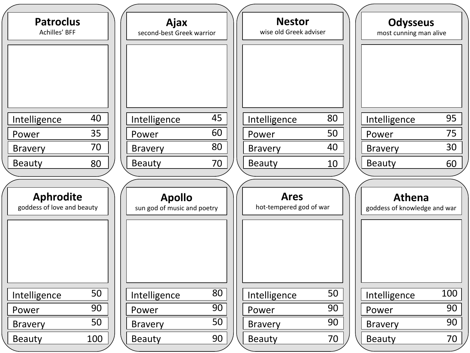| <b>Patroclus</b><br>Achilles' BFF              |            | Ajax<br>second-best Greek warrior            |    | <b>Nestor</b><br>wise old Greek adviser |           | <b>Odysseus</b><br>most cunning man alive     |           |
|------------------------------------------------|------------|----------------------------------------------|----|-----------------------------------------|-----------|-----------------------------------------------|-----------|
| Intelligence                                   | 40         | Intelligence                                 | 45 | Intelligence                            | 80        | Intelligence                                  | 95        |
| Power                                          | 35         | Power                                        | 60 | Power                                   | 50        | Power                                         | 75        |
| <b>Bravery</b>                                 | 70         | <b>Bravery</b>                               | 80 | <b>Bravery</b>                          | 40        | <b>Bravery</b>                                | 30        |
| <b>Beauty</b>                                  | 80         | <b>Beauty</b>                                | 70 | <b>Beauty</b>                           | 10        | <b>Beauty</b>                                 | 60        |
| <b>Aphrodite</b><br>goddess of love and beauty |            | <b>Apollo</b><br>sun god of music and poetry |    | <b>Ares</b><br>hot-tempered god of war  |           | <b>Athena</b><br>goddess of knowledge and war |           |
| Intelligence                                   | 50         | Intelligence                                 | 80 | Intelligence                            | 50        | Intelligence                                  | 100       |
| Power                                          | 90         | Power                                        | 90 | Power                                   | 90        | Power                                         | 90        |
| <b>Bravery</b>                                 | 50         | <b>Bravery</b>                               | 50 | <b>Bravery</b>                          | 90        | <b>Bravery</b>                                | 90        |
| <b>Beauty</b>                                  | <u>100</u> | <b>Beauty</b>                                | 90 | <b>Beauty</b>                           | <u>70</u> | <b>Beauty</b>                                 | <u>70</u> |